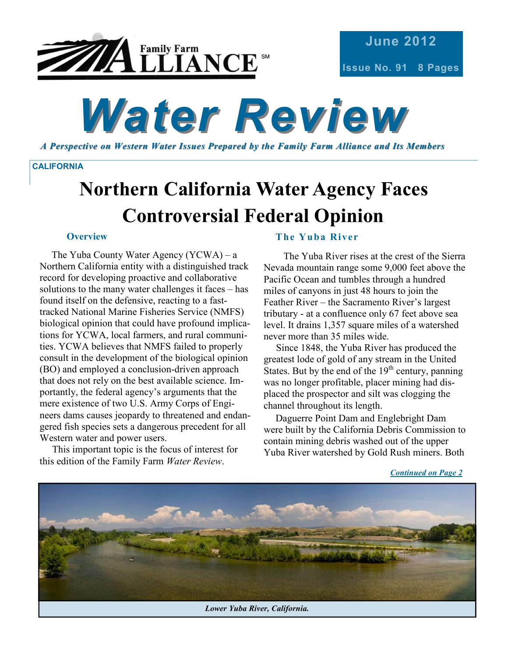

# *Water Review*

*A Perspective on Western Water Issues Prepared by t he Family Farm Alliance and Its Members* 

#### **CALIFORNIA**

## **Northern California Water Agency Faces Controversial Federal Opinion**

#### **Overview**

The Yuba County Water Agency (YCWA) – a Northern California entity with a distinguished track record for developing proactive and collaborative solutions to the many water challenges it faces – has found itself on the defensive, reacting to a fasttracked National Marine Fisheries Service (NMFS) biological opinion that could have profound implications for YCWA, local farmers, and rural communities. YCWA believes that NMFS failed to properly consult in the development of the biological opinion (BO) and employed a conclusion-driven approach that does not rely on the best available science. Importantly, the federal agency's arguments that the mere existence of two U.S. Army Corps of Engineers dams causes jeopardy to threatened and endangered fish species sets a dangerous precedent for all Western water and power users.

 This important topic is the focus of interest for this edition of the Family Farm *Water Review*.

### **The Yuba River**

 The Yuba River rises at the crest of the Sierra Nevada mountain range some 9,000 feet above the Pacific Ocean and tumbles through a hundred miles of canyons in just 48 hours to join the Feather River – the Sacramento River's largest tributary - at a confluence only 67 feet above sea level. It drains 1,357 square miles of a watershed never more than 35 miles wide.

 Since 1848, the Yuba River has produced the greatest lode of gold of any stream in the United States. But by the end of the  $19<sup>th</sup>$  century, panning was no longer profitable, placer mining had displaced the prospector and silt was clogging the channel throughout its length.

Daguerre Point Dam and Englebright Dam were built by the California Debris Commission to contain mining debris washed out of the upper Yuba River watershed by Gold Rush miners. Both

*Continued on Page 2*

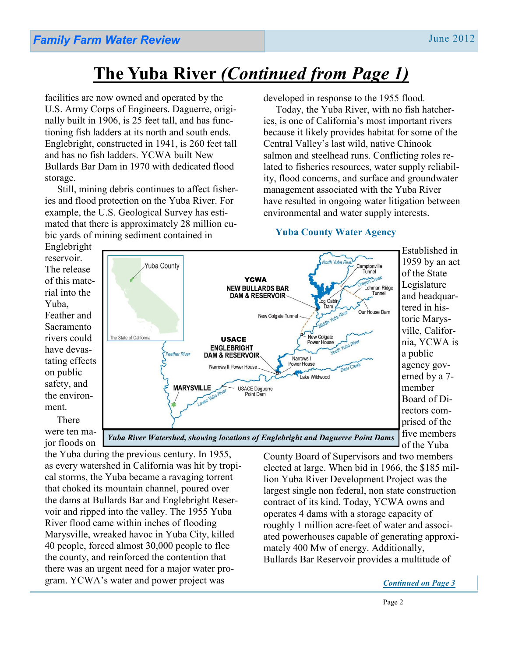### **The Yuba River** *(Continued from Page 1)*

facilities are now owned and operated by the U.S. Army Corps of Engineers. Daguerre, originally built in 1906, is 25 feet tall, and has functioning fish ladders at its north and south ends. Englebright, constructed in 1941, is 260 feet tall and has no fish ladders. YCWA built New Bullards Bar Dam in 1970 with dedicated flood storage.

 Still, mining debris continues to affect fisheries and flood protection on the Yuba River. For example, the U.S. Geological Survey has estimated that there is approximately 28 million cubic yards of mining sediment contained in

developed in response to the 1955 flood.

 Today, the Yuba River, with no fish hatcheries, is one of California's most important rivers because it likely provides habitat for some of the Central Valley's last wild, native Chinook salmon and steelhead runs. Conflicting roles related to fisheries resources, water supply reliability, flood concerns, and surface and groundwater management associated with the Yuba River have resulted in ongoing water litigation between environmental and water supply interests.

### **Yuba County Water Agency**

Englebright reservoir. The release of this material into the Yuba, Feather and Sacramento rivers could have devastating effects on public safety, and the environment. There

were ten major floods on



Established in 1959 by an act of the State Legislature and headquartered in historic Marysville, California, YCWA is a public agency governed by a 7 member Board of Directors comprised of the five members of the Yuba

the Yuba during the previous century. In 1955, as every watershed in California was hit by tropical storms, the Yuba became a ravaging torrent that choked its mountain channel, poured over the dams at Bullards Bar and Englebright Reservoir and ripped into the valley. The 1955 Yuba River flood came within inches of flooding Marysville, wreaked havoc in Yuba City, killed 40 people, forced almost 30,000 people to flee the county, and reinforced the contention that there was an urgent need for a major water program. YCWA's water and power project was

County Board of Supervisors and two members elected at large. When bid in 1966, the \$185 million Yuba River Development Project was the largest single non federal, non state construction contract of its kind. Today, YCWA owns and operates 4 dams with a storage capacity of roughly 1 million acre-feet of water and associated powerhouses capable of generating approximately 400 Mw of energy. Additionally, Bullards Bar Reservoir provides a multitude of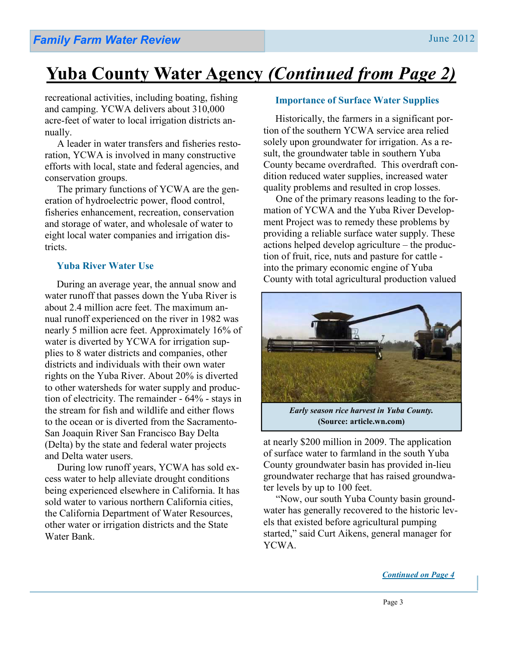### **Yuba County Water Agency** *(Continued from Page 2)*

recreational activities, including boating, fishing and camping. YCWA delivers about 310,000 acre-feet of water to local irrigation districts annually.

 A leader in water transfers and fisheries restoration, YCWA is involved in many constructive efforts with local, state and federal agencies, and conservation groups.

 The primary functions of YCWA are the generation of hydroelectric power, flood control, fisheries enhancement, recreation, conservation and storage of water, and wholesale of water to eight local water companies and irrigation districts.

### **Yuba River Water Use**

During an average year, the annual snow and water runoff that passes down the Yuba River is about 2.4 million acre feet. The maximum annual runoff experienced on the river in 1982 was nearly 5 million acre feet. Approximately 16% of water is diverted by YCWA for irrigation supplies to 8 water districts and companies, other districts and individuals with their own water rights on the Yuba River. About 20% is diverted to other watersheds for water supply and production of electricity. The remainder - 64% - stays in the stream for fish and wildlife and either flows to the ocean or is diverted from the Sacramento-San Joaquin River San Francisco Bay Delta (Delta) by the state and federal water projects and Delta water users.

 During low runoff years, YCWA has sold excess water to help alleviate drought conditions being experienced elsewhere in California. It has sold water to various northern California cities, the California Department of Water Resources, other water or irrigation districts and the State Water Bank.

#### **Importance of Surface Water Supplies**

Historically, the farmers in a significant portion of the southern YCWA service area relied solely upon groundwater for irrigation. As a result, the groundwater table in southern Yuba County became overdrafted. This overdraft condition reduced water supplies, increased water quality problems and resulted in crop losses.

 One of the primary reasons leading to the formation of YCWA and the Yuba River Development Project was to remedy these problems by providing a reliable surface water supply. These actions helped develop agriculture – the production of fruit, rice, nuts and pasture for cattle into the primary economic engine of Yuba County with total agricultural production valued



*Early season rice harvest in Yuba County.*  **(Source: article.wn.com)** 

at nearly \$200 million in 2009. The application of surface water to farmland in the south Yuba County groundwater basin has provided in-lieu groundwater recharge that has raised groundwater levels by up to 100 feet.

 "Now, our south Yuba County basin groundwater has generally recovered to the historic levels that existed before agricultural pumping started," said Curt Aikens, general manager for YCWA.

*Continued on Page 4*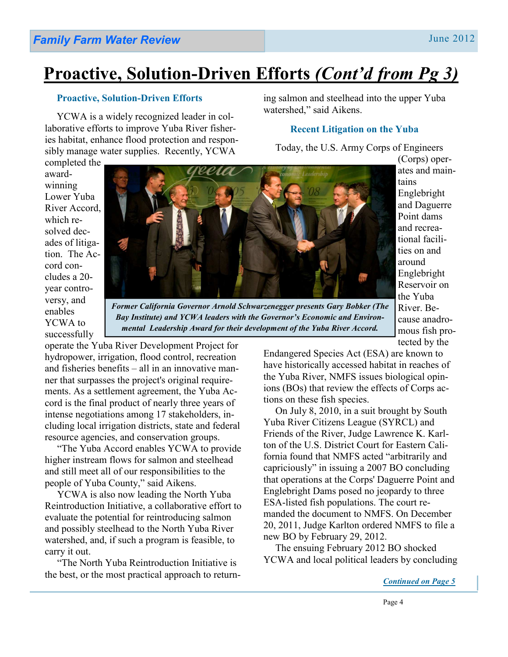### **Proactive, Solution-Driven Efforts** *(Cont'd from Pg 3)*

### **Proactive, Solution-Driven Efforts**

YCWA is a widely recognized leader in collaborative efforts to improve Yuba River fisheries habitat, enhance flood protection and responsibly manage water supplies. Recently, YCWA

ing salmon and steelhead into the upper Yuba watershed," said Aikens.

### **Recent Litigation on the Yuba**

Today, the U.S. Army Corps of Engineers

completed the awardwinning Lower Yuba River Accord, which resolved decades of litigation. The Accord concludes a 20 year controversy, and enables YCWA to successfully



*Former California Governor Arnold Schwarzenegger presents Gary Bobker (The Bay Institute) and YCWA leaders with the Governor's Economic and Environmental Leadership Award for their development of the Yuba River Accord.* 

operate the Yuba River Development Project for hydropower, irrigation, flood control, recreation and fisheries benefits – all in an innovative manner that surpasses the project's original requirements. As a settlement agreement, the Yuba Accord is the final product of nearly three years of intense negotiations among 17 stakeholders, including local irrigation districts, state and federal resource agencies, and conservation groups.

 "The Yuba Accord enables YCWA to provide higher instream flows for salmon and steelhead and still meet all of our responsibilities to the people of Yuba County," said Aikens.

 YCWA is also now leading the North Yuba Reintroduction Initiative, a collaborative effort to evaluate the potential for reintroducing salmon and possibly steelhead to the North Yuba River watershed, and, if such a program is feasible, to carry it out.

 "The North Yuba Reintroduction Initiative is the best, or the most practical approach to return-

mous fish protected by the Endangered Species Act (ESA) are known to have historically accessed habitat in reaches of the Yuba River, NMFS issues biological opinions (BOs) that review the effects of Corps actions on these fish species.

On July 8, 2010, in a suit brought by South Yuba River Citizens League (SYRCL) and Friends of the River, Judge Lawrence K. Karlton of the U.S. District Court for Eastern California found that NMFS acted "arbitrarily and capriciously" in issuing a 2007 BO concluding that operations at the Corps' Daguerre Point and Englebright Dams posed no jeopardy to three ESA-listed fish populations. The court remanded the document to NMFS. On December 20, 2011, Judge Karlton ordered NMFS to file a new BO by February 29, 2012.

The ensuing February 2012 BO shocked YCWA and local political leaders by concluding

(Corps) operates and main-

Englebright and Daguerre Point dams and recreational facilities on and around Englebright Reservoir on the Yuba River. Because anadro-

tains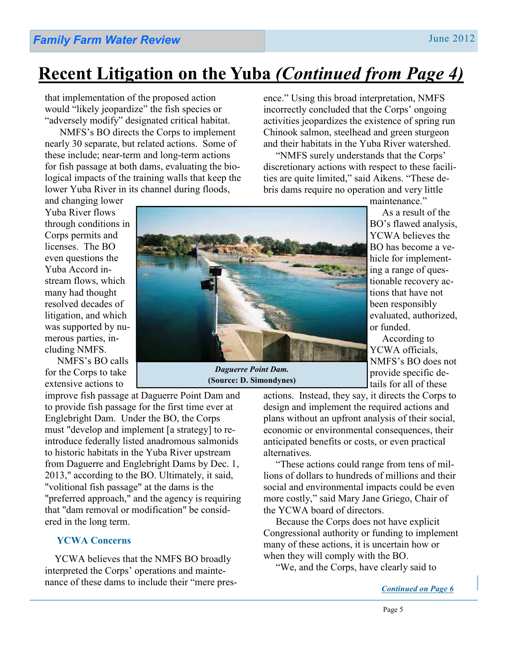### **Recent Litigation on the Yuba** *(Continued from Page 4)*

that implementation of the proposed action would "likely jeopardize" the fish species or "adversely modify" designated critical habitat.

 NMFS's BO directs the Corps to implement nearly 30 separate, but related actions. Some of these include; near-term and long-term actions for fish passage at both dams, evaluating the biological impacts of the training walls that keep the lower Yuba River in its channel during floods,

and changing lower Yuba River flows through conditions in Corps permits and licenses. The BO even questions the Yuba Accord instream flows, which many had thought resolved decades of litigation, and which was supported by numerous parties, including NMFS.

 NMFS's BO calls for the Corps to take extensive actions to

improve fish passage at Daguerre Point Dam and to provide fish passage for the first time ever at Englebright Dam. Under the BO, the Corps must "develop and implement [a strategy] to reintroduce federally listed anadromous salmonids to historic habitats in the Yuba River upstream from Daguerre and Englebright Dams by Dec. 1, 2013," according to the BO. Ultimately, it said, "volitional fish passage" at the dams is the "preferred approach," and the agency is requiring that "dam removal or modification" be considered in the long term.

### **YCWA Concerns**

 YCWA believes that the NMFS BO broadly interpreted the Corps' operations and maintenance of these dams to include their "mere presence." Using this broad interpretation, NMFS incorrectly concluded that the Corps' ongoing activities jeopardizes the existence of spring run Chinook salmon, steelhead and green sturgeon and their habitats in the Yuba River watershed.

 "NMFS surely understands that the Corps' discretionary actions with respect to these facilities are quite limited," said Aikens. "These debris dams require no operation and very little

maintenance."

 As a result of the BO's flawed analysis, YCWA believes the BO has become a vehicle for implementing a range of questionable recovery actions that have not been responsibly evaluated, authorized, or funded.

 According to YCWA officials, NMFS's BO does not provide specific details for all of these

actions. Instead, they say, it directs the Corps to design and implement the required actions and plans without an upfront analysis of their social, economic or environmental consequences, their anticipated benefits or costs, or even practical alternatives.

 "These actions could range from tens of millions of dollars to hundreds of millions and their social and environmental impacts could be even more costly," said Mary Jane Griego, Chair of the YCWA board of directors.

 Because the Corps does not have explicit Congressional authority or funding to implement many of these actions, it is uncertain how or when they will comply with the BO.

"We, and the Corps, have clearly said to



*Daguerre Point Dam.*  **(Source: D. Simondynes)**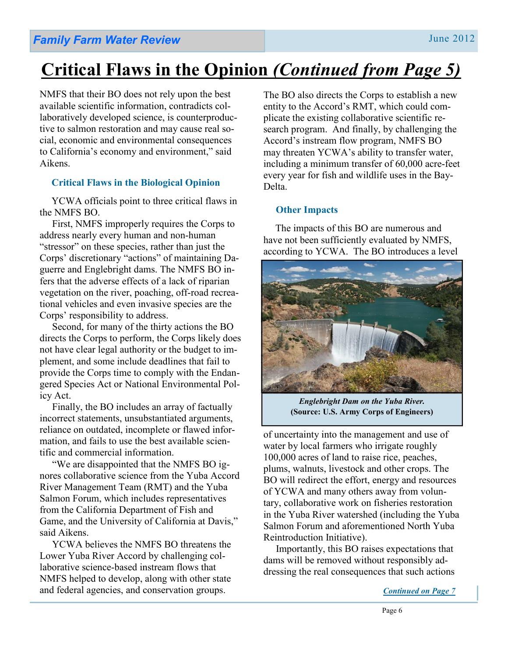### **Critical Flaws in the Opinion** *(Continued from Page 5)*

NMFS that their BO does not rely upon the best available scientific information, contradicts collaboratively developed science, is counterproductive to salmon restoration and may cause real social, economic and environmental consequences to California's economy and environment," said Aikens.

### **Critical Flaws in the Biological Opinion**

YCWA officials point to three critical flaws in the NMFS BO.

 First, NMFS improperly requires the Corps to address nearly every human and non-human "stressor" on these species, rather than just the Corps' discretionary "actions" of maintaining Daguerre and Englebright dams. The NMFS BO infers that the adverse effects of a lack of riparian vegetation on the river, poaching, off-road recreational vehicles and even invasive species are the Corps' responsibility to address.

 Second, for many of the thirty actions the BO directs the Corps to perform, the Corps likely does not have clear legal authority or the budget to implement, and some include deadlines that fail to provide the Corps time to comply with the Endangered Species Act or National Environmental Policy Act.

 Finally, the BO includes an array of factually incorrect statements, unsubstantiated arguments, reliance on outdated, incomplete or flawed information, and fails to use the best available scientific and commercial information.

 "We are disappointed that the NMFS BO ignores collaborative science from the Yuba Accord River Management Team (RMT) and the Yuba Salmon Forum, which includes representatives from the California Department of Fish and Game, and the University of California at Davis," said Aikens.

 YCWA believes the NMFS BO threatens the Lower Yuba River Accord by challenging collaborative science-based instream flows that NMFS helped to develop, along with other state and federal agencies, and conservation groups.

The BO also directs the Corps to establish a new entity to the Accord's RMT, which could complicate the existing collaborative scientific research program. And finally, by challenging the Accord's instream flow program, NMFS BO may threaten YCWA's ability to transfer water, including a minimum transfer of 60,000 acre-feet every year for fish and wildlife uses in the Bay-Delta.

### **Other Impacts**

The impacts of this BO are numerous and have not been sufficiently evaluated by NMFS, according to YCWA.The BO introduces a level



*Englebright Dam on the Yuba River.*  **(Source: U.S. Army Corps of Engineers)** 

of uncertainty into the management and use of water by local farmers who irrigate roughly 100,000 acres of land to raise rice, peaches, plums, walnuts, livestock and other crops. The BO will redirect the effort, energy and resources of YCWA and many others away from voluntary, collaborative work on fisheries restoration in the Yuba River watershed (including the Yuba Salmon Forum and aforementioned North Yuba Reintroduction Initiative).

 Importantly, this BO raises expectations that dams will be removed without responsibly addressing the real consequences that such actions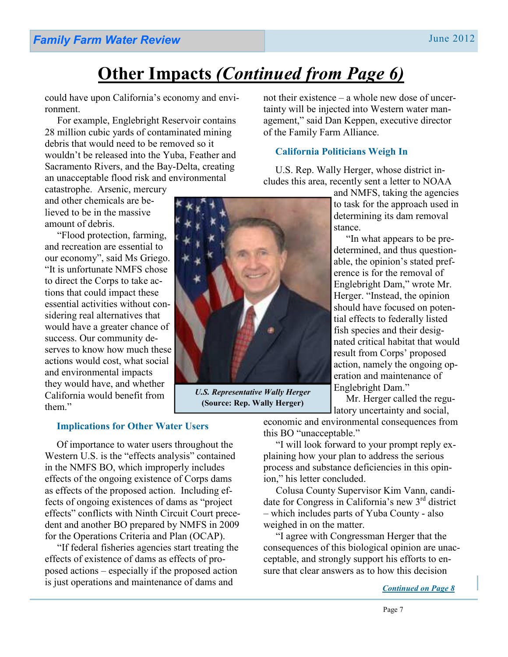Page 7

### **Other Impacts** *(Continued from Page 6)*

could have upon California's economy and environment.

 For example, Englebright Reservoir contains 28 million cubic yards of contaminated mining debris that would need to be removed so it wouldn't be released into the Yuba, Feather and Sacramento Rivers, and the Bay-Delta, creating an unacceptable flood risk and environmental

catastrophe. Arsenic, mercury and other chemicals are believed to be in the massive amount of debris.

 "Flood protection, farming, and recreation are essential to our economy", said Ms Griego. "It is unfortunate NMFS chose to direct the Corps to take actions that could impact these essential activities without considering real alternatives that would have a greater chance of success. Our community deserves to know how much these actions would cost, what social and environmental impacts they would have, and whether California would benefit from them."

not their existence – a whole new dose of uncertainty will be injected into Western water management," said Dan Keppen, executive director of the Family Farm Alliance.

### **California Politicians Weigh In**

U.S. Rep. Wally Herger, whose district includes this area, recently sent a letter to NOAA

> and NMFS, taking the agencies to task for the approach used in determining its dam removal stance.

> "In what appears to be predetermined, and thus questionable, the opinion's stated preference is for the removal of Englebright Dam," wrote Mr. Herger. "Instead, the opinion should have focused on potential effects to federally listed fish species and their designated critical habitat that would result from Corps' proposed action, namely the ongoing operation and maintenance of Englebright Dam."

 Mr. Herger called the regulatory uncertainty and social,

**Implications for Other Water Users**

Of importance to water users throughout the Western U.S. is the "effects analysis" contained in the NMFS BO, which improperly includes effects of the ongoing existence of Corps dams as effects of the proposed action. Including effects of ongoing existences of dams as "project effects" conflicts with Ninth Circuit Court precedent and another BO prepared by NMFS in 2009 for the Operations Criteria and Plan (OCAP).

 "If federal fisheries agencies start treating the effects of existence of dams as effects of proposed actions – especially if the proposed action is just operations and maintenance of dams and

economic and environmental consequences from this BO "unacceptable."

 "I will look forward to your prompt reply explaining how your plan to address the serious process and substance deficiencies in this opinion," his letter concluded.

Colusa County Supervisor Kim Vann, candidate for Congress in California's new 3rd district – which includes parts of Yuba County - also weighed in on the matter.

 "I agree with Congressman Herger that the consequences of this biological opinion are unacceptable, and strongly support his efforts to ensure that clear answers as to how this decision

*Continued on Page 8*

*U.S. Representative Wally Herger*  **(Source: Rep. Wally Herger)**